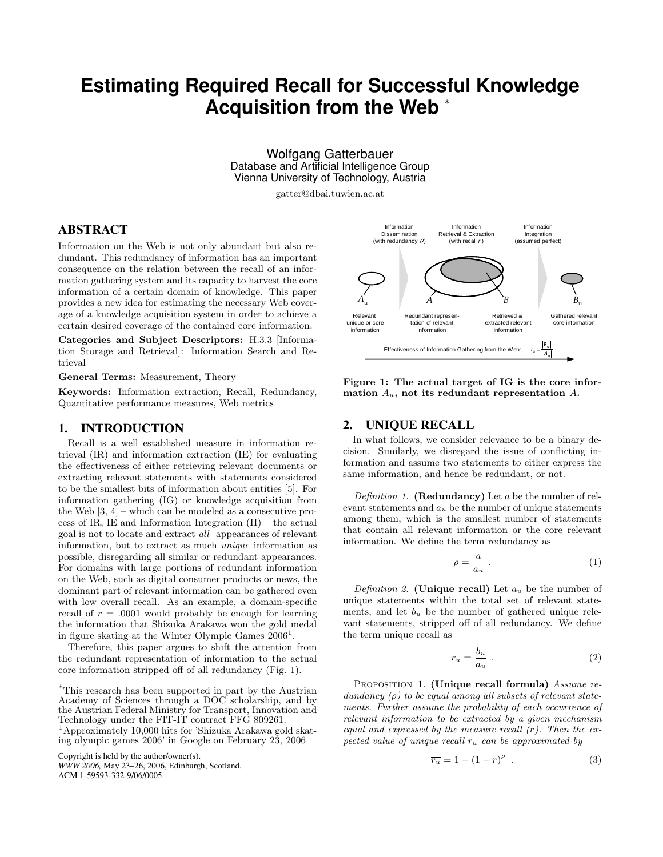# **Estimating Required Recall for Successful Knowledge Acquisition from the Web** <sup>∗</sup>

Wolfgang Gatterbauer Database and Artificial Intelligence Group Vienna University of Technology, Austria

gatter@dbai.tuwien.ac.at

# ABSTRACT

Information on the Web is not only abundant but also redundant. This redundancy of information has an important consequence on the relation between the recall of an information gathering system and its capacity to harvest the core information of a certain domain of knowledge. This paper provides a new idea for estimating the necessary Web coverage of a knowledge acquisition system in order to achieve a certain desired coverage of the contained core information.

Categories and Subject Descriptors: H.3.3 [Information Storage and Retrieval]: Information Search and Retrieval

General Terms: Measurement, Theory

Keywords: Information extraction, Recall, Redundancy, Quantitative performance measures, Web metrics

#### 1. INTRODUCTION

Recall is a well established measure in information retrieval (IR) and information extraction (IE) for evaluating the effectiveness of either retrieving relevant documents or extracting relevant statements with statements considered to be the smallest bits of information about entities [5]. For information gathering (IG) or knowledge acquisition from the Web [3, 4] – which can be modeled as a consecutive process of IR, IE and Information Integration (II) – the actual goal is not to locate and extract all appearances of relevant information, but to extract as much unique information as possible, disregarding all similar or redundant appearances. For domains with large portions of redundant information on the Web, such as digital consumer products or news, the dominant part of relevant information can be gathered even with low overall recall. As an example, a domain-specific recall of  $r = .0001$  would probably be enough for learning the information that Shizuka Arakawa won the gold medal in figure skating at the Winter Olympic Games  $2006<sup>1</sup>$ .

Therefore, this paper argues to shift the attention from the redundant representation of information to the actual core information stripped off of all redundancy (Fig. 1).

Copyright is held by the author/owner(s).

*WWW 2006,* May 23–26, 2006, Edinburgh, Scotland. ACM 1-59593-332-9/06/0005.



Figure 1: The actual target of IG is the core information  $A_u$ , not its redundant representation  $A$ .

#### 2. UNIQUE RECALL

In what follows, we consider relevance to be a binary decision. Similarly, we disregard the issue of conflicting information and assume two statements to either express the same information, and hence be redundant, or not.

Definition 1. (Redundancy) Let  $a$  be the number of relevant statements and  $a<sub>u</sub>$  be the number of unique statements among them, which is the smallest number of statements that contain all relevant information or the core relevant information. We define the term redundancy as

$$
\rho = \frac{a}{a_u} \ . \tag{1}
$$

Definition 2. (Unique recall) Let  $a_u$  be the number of unique statements within the total set of relevant statements, and let  $b<sub>u</sub>$  be the number of gathered unique relevant statements, stripped off of all redundancy. We define the term unique recall as

$$
r_u = \frac{b_u}{a_u} \tag{2}
$$

PROPOSITION 1. (Unique recall formula) Assume redundancy  $(\rho)$  to be equal among all subsets of relevant statements. Further assume the probability of each occurrence of relevant information to be extracted by a given mechanism equal and expressed by the measure recall  $(r)$ . Then the expected value of unique recall  $r_u$  can be approximated by

$$
\overline{r_u} = 1 - (1 - r)^{\rho} \tag{3}
$$

<sup>∗</sup>This research has been supported in part by the Austrian Academy of Sciences through a DOC scholarship, and by the Austrian Federal Ministry for Transport, Innovation and Technology under the FIT-IT contract FFG 809261.

<sup>1</sup>Approximately 10,000 hits for 'Shizuka Arakawa gold skating olympic games 2006' in Google on February 23, 2006